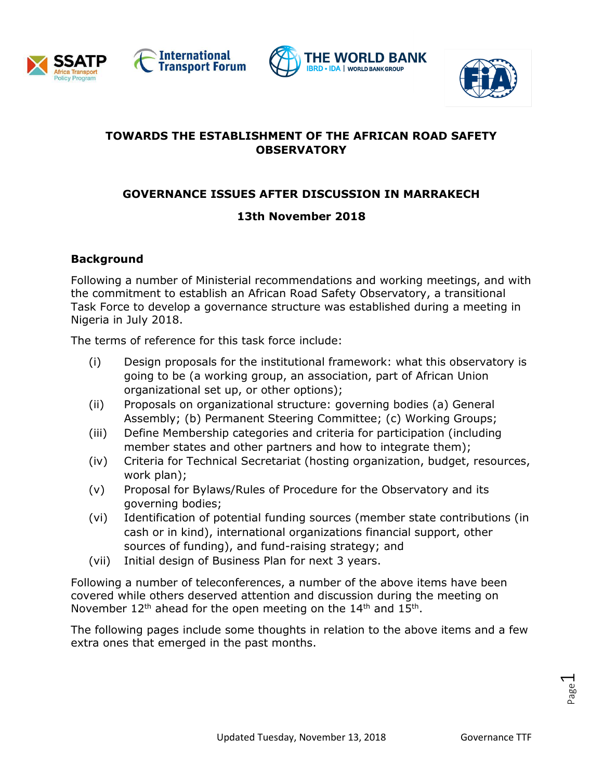







# **TOWARDS THE ESTABLISHMENT OF THE AFRICAN ROAD SAFETY OBSERVATORY**

## **GOVERNANCE ISSUES AFTER DISCUSSION IN MARRAKECH**

# **13th November 2018**

### **Background**

Following a number of Ministerial recommendations and working meetings, and with the commitment to establish an African Road Safety Observatory, a transitional Task Force to develop a governance structure was established during a meeting in Nigeria in July 2018.

The terms of reference for this task force include:

- (i) Design proposals for the institutional framework: what this observatory is going to be (a working group, an association, part of African Union organizational set up, or other options);
- (ii) Proposals on organizational structure: governing bodies (a) General Assembly; (b) Permanent Steering Committee; (c) Working Groups;
- (iii) Define Membership categories and criteria for participation (including member states and other partners and how to integrate them);
- (iv) Criteria for Technical Secretariat (hosting organization, budget, resources, work plan);
- (v) Proposal for Bylaws/Rules of Procedure for the Observatory and its governing bodies;
- (vi) Identification of potential funding sources (member state contributions (in cash or in kind), international organizations financial support, other sources of funding), and fund-raising strategy; and
- (vii) Initial design of Business Plan for next 3 years.

Following a number of teleconferences, a number of the above items have been covered while others deserved attention and discussion during the meeting on November  $12<sup>th</sup>$  ahead for the open meeting on the  $14<sup>th</sup>$  and  $15<sup>th</sup>$ .

The following pages include some thoughts in relation to the above items and a few extra ones that emerged in the past months.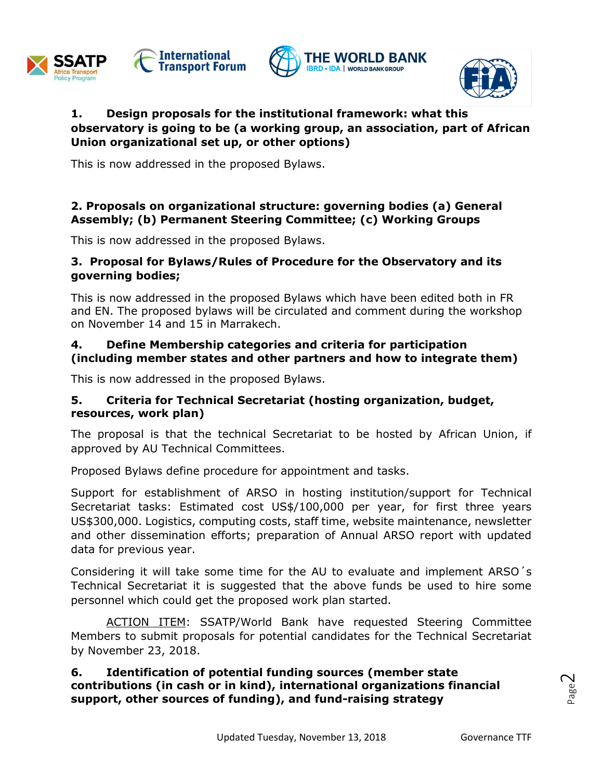







### **1. Design proposals for the institutional framework: what this observatory is going to be (a working group, an association, part of African Union organizational set up, or other options)**

This is now addressed in the proposed Bylaws.

### **2. Proposals on organizational structure: governing bodies (a) General Assembly; (b) Permanent Steering Committee; (c) Working Groups**

This is now addressed in the proposed Bylaws.

#### **3. Proposal for Bylaws/Rules of Procedure for the Observatory and its governing bodies;**

This is now addressed in the proposed Bylaws which have been edited both in FR and EN. The proposed bylaws will be circulated and comment during the workshop on November 14 and 15 in Marrakech.

#### **4. Define Membership categories and criteria for participation (including member states and other partners and how to integrate them)**

This is now addressed in the proposed Bylaws.

### **5. Criteria for Technical Secretariat (hosting organization, budget, resources, work plan)**

The proposal is that the technical Secretariat to be hosted by African Union, if approved by AU Technical Committees.

Proposed Bylaws define procedure for appointment and tasks.

Support for establishment of ARSO in hosting institution/support for Technical Secretariat tasks: Estimated cost US\$/100,000 per year, for first three years US\$300,000. Logistics, computing costs, staff time, website maintenance, newsletter and other dissemination efforts; preparation of Annual ARSO report with updated data for previous year.

Considering it will take some time for the AU to evaluate and implement ARSO´s Technical Secretariat it is suggested that the above funds be used to hire some personnel which could get the proposed work plan started.

ACTION ITEM: SSATP/World Bank have requested Steering Committee Members to submit proposals for potential candidates for the Technical Secretariat by November 23, 2018.

#### **6. Identification of potential funding sources (member state contributions (in cash or in kind), international organizations financial support, other sources of funding), and fund-raising strategy**